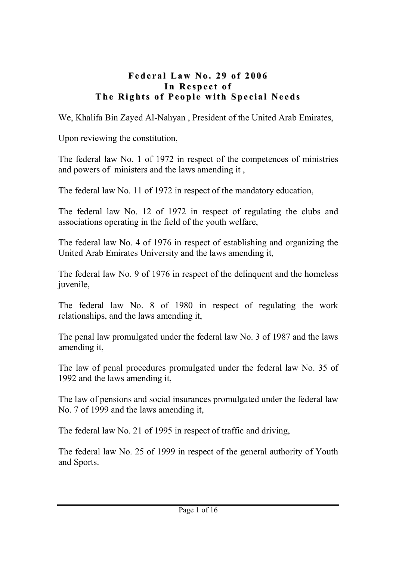#### Federal Law No. 29 of 2006 In Respect of The Rights of People with Special Needs

We, Khalifa Bin Zayed Al-Nahyan , President of the United Arab Emirates,

Upon reviewing the constitution,

The federal law No. 1 of 1972 in respect of the competences of ministries and powers of ministers and the laws amending it ,

The federal law No. 11 of 1972 in respect of the mandatory education,

The federal law No. 12 of 1972 in respect of regulating the clubs and associations operating in the field of the youth welfare,

The federal law No. 4 of 1976 in respect of establishing and organizing the United Arab Emirates University and the laws amending it,

The federal law No. 9 of 1976 in respect of the delinquent and the homeless juvenile,

The federal law No. 8 of 1980 in respect of regulating the work relationships, and the laws amending it,

The penal law promulgated under the federal law No. 3 of 1987 and the laws amending it,

The law of penal procedures promulgated under the federal law No. 35 of 1992 and the laws amending it,

The law of pensions and social insurances promulgated under the federal law No. 7 of 1999 and the laws amending it,

The federal law No. 21 of 1995 in respect of traffic and driving,

The federal law No. 25 of 1999 in respect of the general authority of Youth and Sports.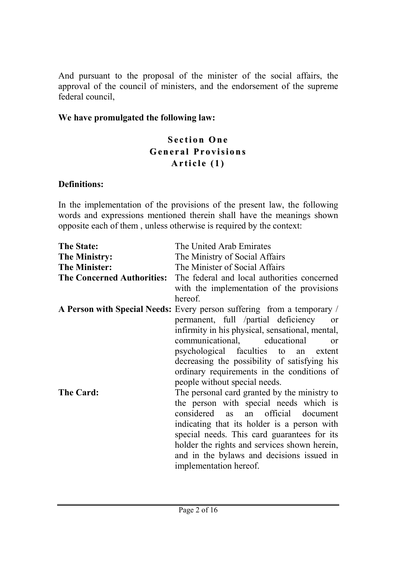And pursuant to the proposal of the minister of the social affairs, the approval of the council of ministers, and the endorsement of the supreme federal council,

#### We have promulgated the following law:

#### **Section One** General Provisions Article  $(1)$

#### Definitions:

In the implementation of the provisions of the present law, the following words and expressions mentioned therein shall have the meanings shown opposite each of them , unless otherwise is required by the context:

| <b>The State:</b>    | The United Arab Emirates                                                      |
|----------------------|-------------------------------------------------------------------------------|
| <b>The Ministry:</b> | The Ministry of Social Affairs                                                |
| <b>The Minister:</b> | The Minister of Social Affairs                                                |
|                      | <b>The Concerned Authorities:</b> The federal and local authorities concerned |
|                      | with the implementation of the provisions                                     |
|                      | hereof.                                                                       |
|                      | A Person with Special Needs: Every person suffering from a temporary /        |
|                      | permanent, full /partial deficiency<br><sub>or</sub>                          |
|                      | infirmity in his physical, sensational, mental,                               |
|                      | communicational, educational<br>$\alpha$                                      |
|                      | psychological faculties to an extent                                          |
|                      | decreasing the possibility of satisfying his                                  |
|                      | ordinary requirements in the conditions of                                    |
|                      | people without special needs.                                                 |
| The Card:            | The personal card granted by the ministry to                                  |
|                      | the person with special needs which is                                        |
|                      | considered as an official document                                            |
|                      | indicating that its holder is a person with                                   |
|                      | special needs. This card guarantees for its                                   |
|                      | holder the rights and services shown herein,                                  |
|                      | and in the bylaws and decisions issued in                                     |
|                      | implementation hereof.                                                        |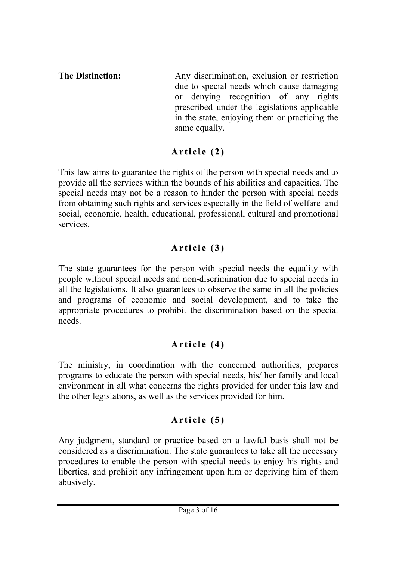The Distinction: Any discrimination, exclusion or restriction due to special needs which cause damaging or denying recognition of any rights prescribed under the legislations applicable in the state, enjoying them or practicing the same equally.

# Article  $(2)$

This law aims to guarantee the rights of the person with special needs and to provide all the services within the bounds of his abilities and capacities. The special needs may not be a reason to hinder the person with special needs from obtaining such rights and services especially in the field of welfare and social, economic, health, educational, professional, cultural and promotional services.

# Article  $(3)$

The state guarantees for the person with special needs the equality with people without special needs and non-discrimination due to special needs in all the legislations. It also guarantees to observe the same in all the policies and programs of economic and social development, and to take the appropriate procedures to prohibit the discrimination based on the special needs.

# Article (4)

The ministry, in coordination with the concerned authorities, prepares programs to educate the person with special needs, his/ her family and local environment in all what concerns the rights provided for under this law and the other legislations, as well as the services provided for him.

# Article  $(5)$

Any judgment, standard or practice based on a lawful basis shall not be considered as a discrimination. The state guarantees to take all the necessary procedures to enable the person with special needs to enjoy his rights and liberties, and prohibit any infringement upon him or depriving him of them abusively.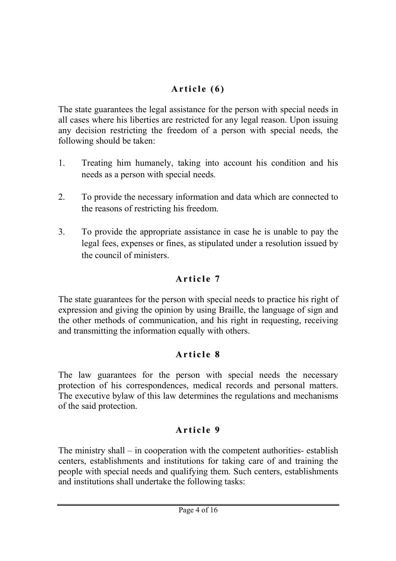# Article  $(6)$

The state guarantees the legal assistance for the person with special needs in all cases where his liberties are restricted for any legal reason. Upon issuing any decision restricting the freedom of a person with special needs, the following should be taken:

- 1. Treating him humanely, taking into account his condition and his needs as a person with special needs.
- 2. To provide the necessary information and data which are connected to the reasons of restricting his freedom.
- 3. To provide the appropriate assistance in case he is unable to pay the legal fees, expenses or fines, as stipulated under a resolution issued by the council of ministers.

# Article 7

The state guarantees for the person with special needs to practice his right of expression and giving the opinion by using Braille, the language of sign and the other methods of communication, and his right in requesting, receiving and transmitting the information equally with others.

# Article 8

The law guarantees for the person with special needs the necessary protection of his correspondences, medical records and personal matters. The executive bylaw of this law determines the regulations and mechanisms of the said protection.

## Article 9

The ministry shall – in cooperation with the competent authorities- establish centers, establishments and institutions for taking care of and training the people with special needs and qualifying them. Such centers, establishments and institutions shall undertake the following tasks: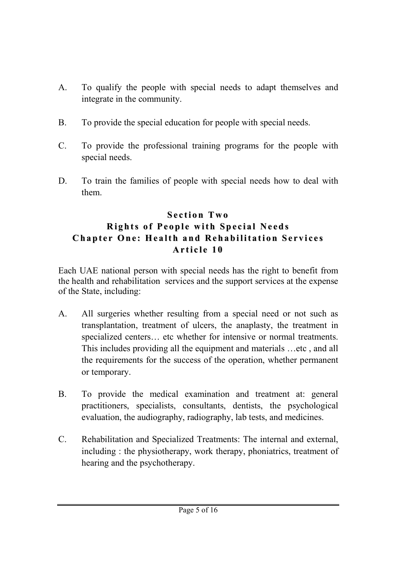- A. To qualify the people with special needs to adapt themselves and integrate in the community.
- B. To provide the special education for people with special needs.
- C. To provide the professional training programs for the people with special needs.
- D. To train the families of people with special needs how to deal with them.

#### Section Two Rights of People with Special Needs Chapter One: Health and Rehabilitation Services Article 10

Each UAE national person with special needs has the right to benefit from the health and rehabilitation services and the support services at the expense of the State, including:

- A. All surgeries whether resulting from a special need or not such as transplantation, treatment of ulcers, the anaplasty, the treatment in specialized centers... etc whether for intensive or normal treatments. This includes providing all the equipment and materials …etc , and all the requirements for the success of the operation, whether permanent or temporary.
- B. To provide the medical examination and treatment at: general practitioners, specialists, consultants, dentists, the psychological evaluation, the audiography, radiography, lab tests, and medicines.
- C. Rehabilitation and Specialized Treatments: The internal and external, including : the physiotherapy, work therapy, phoniatrics, treatment of hearing and the psychotherapy.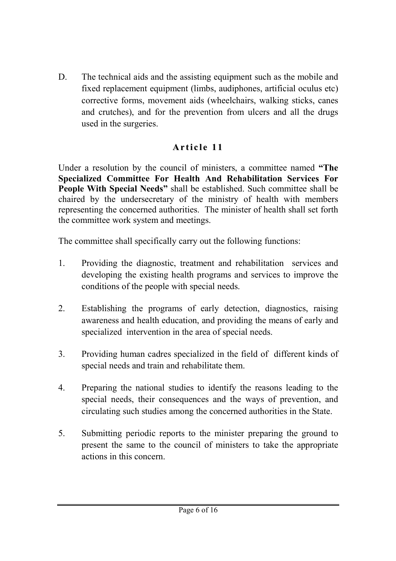D. The technical aids and the assisting equipment such as the mobile and fixed replacement equipment (limbs, audiphones, artificial oculus etc) corrective forms, movement aids (wheelchairs, walking sticks, canes and crutches), and for the prevention from ulcers and all the drugs used in the surgeries.

## Article 11

Under a resolution by the council of ministers, a committee named "The Specialized Committee For Health And Rehabilitation Services For People With Special Needs" shall be established. Such committee shall be chaired by the undersecretary of the ministry of health with members representing the concerned authorities. The minister of health shall set forth the committee work system and meetings.

The committee shall specifically carry out the following functions:

- 1. Providing the diagnostic, treatment and rehabilitation services and developing the existing health programs and services to improve the conditions of the people with special needs.
- 2. Establishing the programs of early detection, diagnostics, raising awareness and health education, and providing the means of early and specialized intervention in the area of special needs.
- 3. Providing human cadres specialized in the field of different kinds of special needs and train and rehabilitate them.
- 4. Preparing the national studies to identify the reasons leading to the special needs, their consequences and the ways of prevention, and circulating such studies among the concerned authorities in the State.
- 5. Submitting periodic reports to the minister preparing the ground to present the same to the council of ministers to take the appropriate actions in this concern.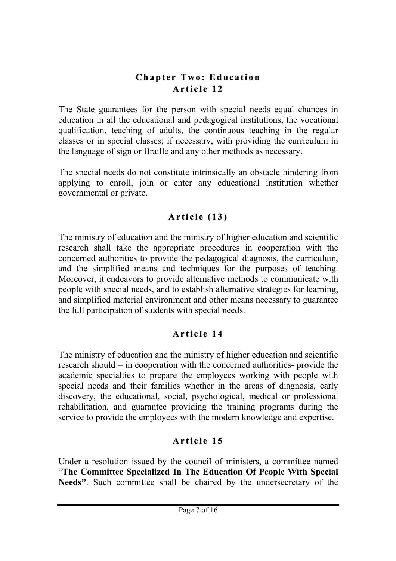#### Chapter Two: Education Article 12

The State guarantees for the person with special needs equal chances in education in all the educational and pedagogical institutions, the vocational qualification, teaching of adults, the continuous teaching in the regular classes or in special classes; if necessary, with providing the curriculum in the language of sign or Braille and any other methods as necessary.

The special needs do not constitute intrinsically an obstacle hindering from applying to enroll, join or enter any educational institution whether governmental or private.

## Article  $(13)$

The ministry of education and the ministry of higher education and scientific research shall take the appropriate procedures in cooperation with the concerned authorities to provide the pedagogical diagnosis, the curriculum, and the simplified means and techniques for the purposes of teaching. Moreover, it endeavors to provide alternative methods to communicate with people with special needs, and to establish alternative strategies for learning, and simplified material environment and other means necessary to guarantee the full participation of students with special needs.

### Article 14

The ministry of education and the ministry of higher education and scientific research should – in cooperation with the concerned authorities- provide the academic specialties to prepare the employees working with people with special needs and their families whether in the areas of diagnosis, early discovery, the educational, social, psychological, medical or professional rehabilitation, and guarantee providing the training programs during the service to provide the employees with the modern knowledge and expertise.

# Article 15

Under a resolution issued by the council of ministers, a committee named "The Committee Specialized In The Education Of People With Special Needs". Such committee shall be chaired by the undersecretary of the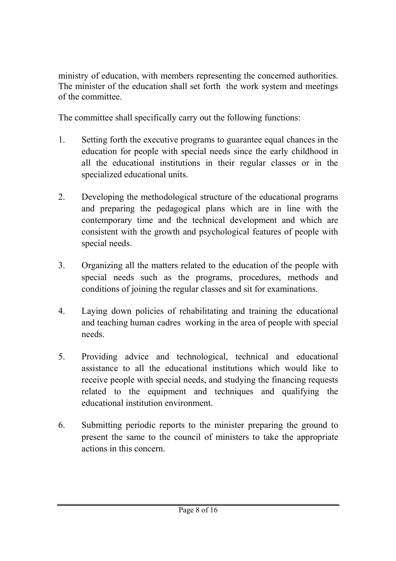ministry of education, with members representing the concerned authorities. The minister of the education shall set forth the work system and meetings of the committee.

The committee shall specifically carry out the following functions:

- 1. Setting forth the executive programs to guarantee equal chances in the education for people with special needs since the early childhood in all the educational institutions in their regular classes or in the specialized educational units.
- 2. Developing the methodological structure of the educational programs and preparing the pedagogical plans which are in line with the contemporary time and the technical development and which are consistent with the growth and psychological features of people with special needs.
- 3. Organizing all the matters related to the education of the people with special needs such as the programs, procedures, methods and conditions of joining the regular classes and sit for examinations.
- 4. Laying down policies of rehabilitating and training the educational and teaching human cadres working in the area of people with special needs.
- 5. Providing advice and technological, technical and educational assistance to all the educational institutions which would like to receive people with special needs, and studying the financing requests related to the equipment and techniques and qualifying the educational institution environment.
- 6. Submitting periodic reports to the minister preparing the ground to present the same to the council of ministers to take the appropriate actions in this concern.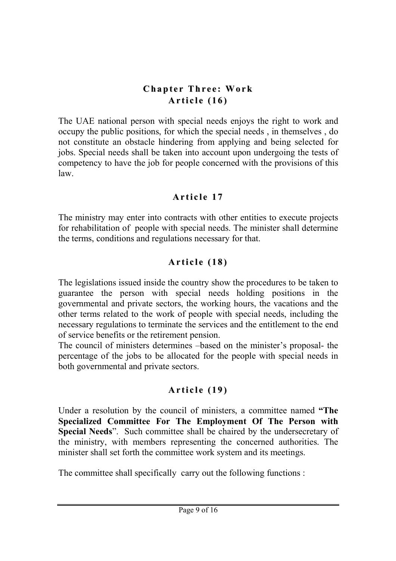### **Chapter Three: Work** Article  $(16)$

The UAE national person with special needs enjoys the right to work and occupy the public positions, for which the special needs , in themselves , do not constitute an obstacle hindering from applying and being selected for jobs. Special needs shall be taken into account upon undergoing the tests of competency to have the job for people concerned with the provisions of this law.

#### Article 17

The ministry may enter into contracts with other entities to execute projects for rehabilitation of people with special needs. The minister shall determine the terms, conditions and regulations necessary for that.

## Article  $(18)$

The legislations issued inside the country show the procedures to be taken to guarantee the person with special needs holding positions in the governmental and private sectors, the working hours, the vacations and the other terms related to the work of people with special needs, including the necessary regulations to terminate the services and the entitlement to the end of service benefits or the retirement pension.

The council of ministers determines –based on the minister's proposal- the percentage of the jobs to be allocated for the people with special needs in both governmental and private sectors.

## Article (19)

Under a resolution by the council of ministers, a committee named "The Specialized Committee For The Employment Of The Person with Special Needs". Such committee shall be chaired by the undersecretary of the ministry, with members representing the concerned authorities. The minister shall set forth the committee work system and its meetings.

The committee shall specifically carry out the following functions :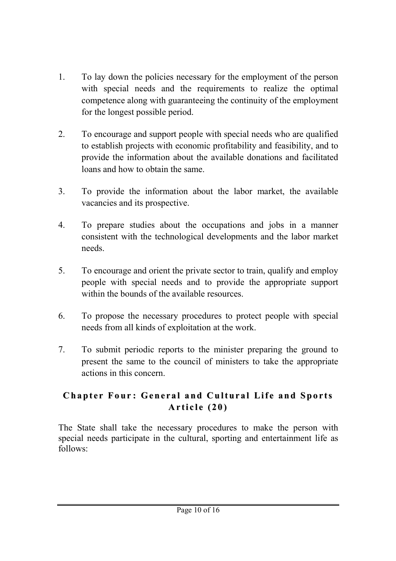- 1. To lay down the policies necessary for the employment of the person with special needs and the requirements to realize the optimal competence along with guaranteeing the continuity of the employment for the longest possible period.
- 2. To encourage and support people with special needs who are qualified to establish projects with economic profitability and feasibility, and to provide the information about the available donations and facilitated loans and how to obtain the same.
- 3. To provide the information about the labor market, the available vacancies and its prospective.
- 4. To prepare studies about the occupations and jobs in a manner consistent with the technological developments and the labor market needs.
- 5. To encourage and orient the private sector to train, qualify and employ people with special needs and to provide the appropriate support within the bounds of the available resources.
- 6. To propose the necessary procedures to protect people with special needs from all kinds of exploitation at the work.
- 7. To submit periodic reports to the minister preparing the ground to present the same to the council of ministers to take the appropriate actions in this concern.

### Chapter Four: General and Cultural Life and Sports Article  $(20)$

The State shall take the necessary procedures to make the person with special needs participate in the cultural, sporting and entertainment life as follows: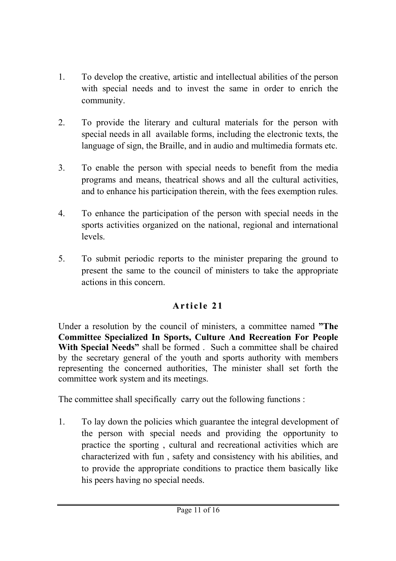- 1. To develop the creative, artistic and intellectual abilities of the person with special needs and to invest the same in order to enrich the community.
- 2. To provide the literary and cultural materials for the person with special needs in all available forms, including the electronic texts, the language of sign, the Braille, and in audio and multimedia formats etc.
- 3. To enable the person with special needs to benefit from the media programs and means, theatrical shows and all the cultural activities, and to enhance his participation therein, with the fees exemption rules.
- 4. To enhance the participation of the person with special needs in the sports activities organized on the national, regional and international levels.
- 5. To submit periodic reports to the minister preparing the ground to present the same to the council of ministers to take the appropriate actions in this concern.

# Article 21

Under a resolution by the council of ministers, a committee named "The Committee Specialized In Sports, Culture And Recreation For People With Special Needs" shall be formed. Such a committee shall be chaired by the secretary general of the youth and sports authority with members representing the concerned authorities, The minister shall set forth the committee work system and its meetings.

The committee shall specifically carry out the following functions :

1. To lay down the policies which guarantee the integral development of the person with special needs and providing the opportunity to practice the sporting , cultural and recreational activities which are characterized with fun , safety and consistency with his abilities, and to provide the appropriate conditions to practice them basically like his peers having no special needs.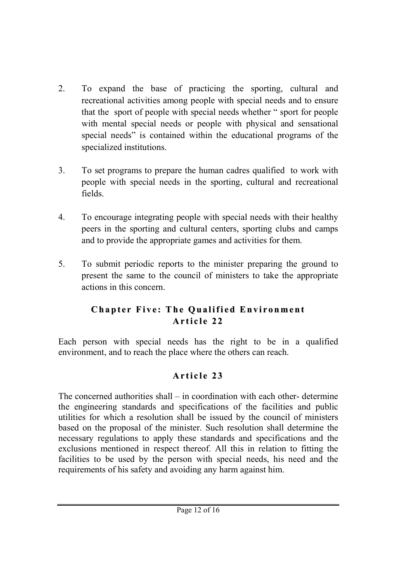- 2. To expand the base of practicing the sporting, cultural and recreational activities among people with special needs and to ensure that the sport of people with special needs whether " sport for people with mental special needs or people with physical and sensational special needs" is contained within the educational programs of the specialized institutions.
- 3. To set programs to prepare the human cadres qualified to work with people with special needs in the sporting, cultural and recreational fields.
- 4. To encourage integrating people with special needs with their healthy peers in the sporting and cultural centers, sporting clubs and camps and to provide the appropriate games and activities for them.
- 5. To submit periodic reports to the minister preparing the ground to present the same to the council of ministers to take the appropriate actions in this concern.

## Chapter Five: The Qualified Environment Article 22

Each person with special needs has the right to be in a qualified environment, and to reach the place where the others can reach.

## Article 23

The concerned authorities shall – in coordination with each other- determine the engineering standards and specifications of the facilities and public utilities for which a resolution shall be issued by the council of ministers based on the proposal of the minister. Such resolution shall determine the necessary regulations to apply these standards and specifications and the exclusions mentioned in respect thereof. All this in relation to fitting the facilities to be used by the person with special needs, his need and the requirements of his safety and avoiding any harm against him.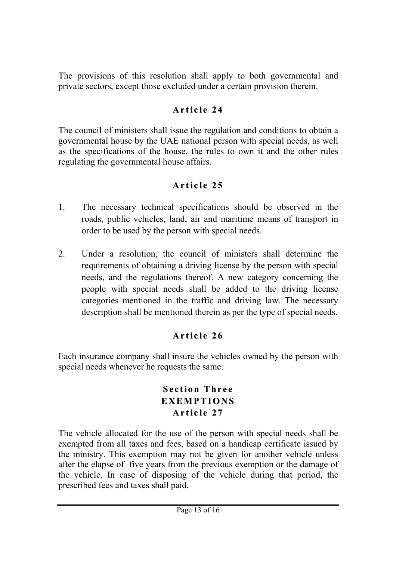The provisions of this resolution shall apply to both governmental and private sectors, except those excluded under a certain provision therein.

## Article 24

The council of ministers shall issue the regulation and conditions to obtain a governmental house by the UAE national person with special needs, as well as the specifications of the house, the rules to own it and the other rules regulating the governmental house affairs.

## Article 25

- 1. The necessary technical specifications should be observed in the roads, public vehicles, land, air and maritime means of transport in order to be used by the person with special needs.
- 2. Under a resolution, the council of ministers shall determine the requirements of obtaining a driving license by the person with special needs, and the regulations thereof. A new category concerning the people with special needs shall be added to the driving license categories mentioned in the traffic and driving law. The necessary description shall be mentioned therein as per the type of special needs.

# Article 26

Each insurance company shall insure the vehicles owned by the person with special needs whenever he requests the same.

#### **Section Three** EXEMPTIONS Article 27

The vehicle allocated for the use of the person with special needs shall be exempted from all taxes and fees, based on a handicap certificate issued by the ministry. This exemption may not be given for another vehicle unless after the elapse of five years from the previous exemption or the damage of the vehicle. In case of disposing of the vehicle during that period, the prescribed fees and taxes shall paid.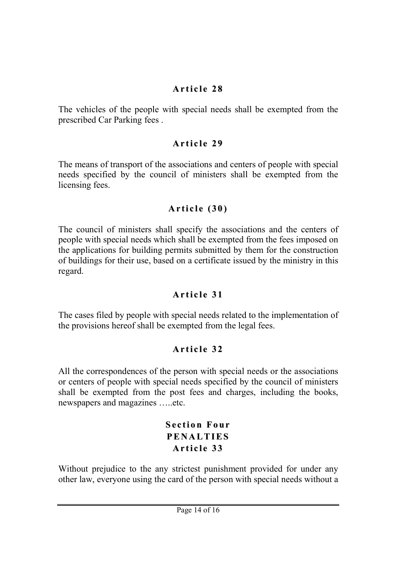### Article 28

The vehicles of the people with special needs shall be exempted from the prescribed Car Parking fees .

### Article 29

The means of transport of the associations and centers of people with special needs specified by the council of ministers shall be exempted from the licensing fees.

### Article  $(30)$

The council of ministers shall specify the associations and the centers of people with special needs which shall be exempted from the fees imposed on the applications for building permits submitted by them for the construction of buildings for their use, based on a certificate issued by the ministry in this regard.

# Article 31

The cases filed by people with special needs related to the implementation of the provisions hereof shall be exempted from the legal fees.

## Article 32

All the correspondences of the person with special needs or the associations or centers of people with special needs specified by the council of ministers shall be exempted from the post fees and charges, including the books, newspapers and magazines …..etc.

#### Section Four **PENALTIES** Article 33

Without prejudice to the any strictest punishment provided for under any other law, everyone using the card of the person with special needs without a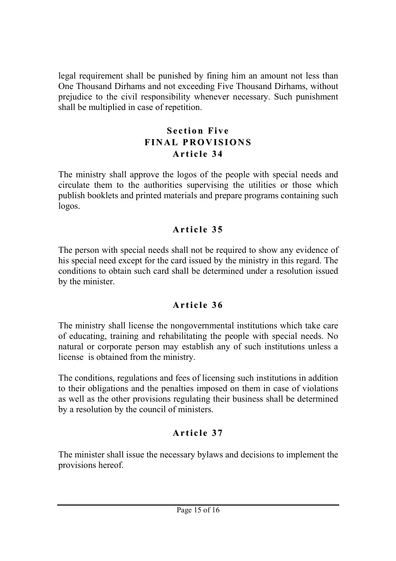legal requirement shall be punished by fining him an amount not less than One Thousand Dirhams and not exceeding Five Thousand Dirhams, without prejudice to the civil responsibility whenever necessary. Such punishment shall be multiplied in case of repetition.

### Section Five FINAL PROVISIONS Article 34

The ministry shall approve the logos of the people with special needs and circulate them to the authorities supervising the utilities or those which publish booklets and printed materials and prepare programs containing such logos.

# Article 35

The person with special needs shall not be required to show any evidence of his special need except for the card issued by the ministry in this regard. The conditions to obtain such card shall be determined under a resolution issued by the minister.

## Article 36

The ministry shall license the nongovernmental institutions which take care of educating, training and rehabilitating the people with special needs. No natural or corporate person may establish any of such institutions unless a license is obtained from the ministry.

The conditions, regulations and fees of licensing such institutions in addition to their obligations and the penalties imposed on them in case of violations as well as the other provisions regulating their business shall be determined by a resolution by the council of ministers.

# Article 37

The minister shall issue the necessary bylaws and decisions to implement the provisions hereof.